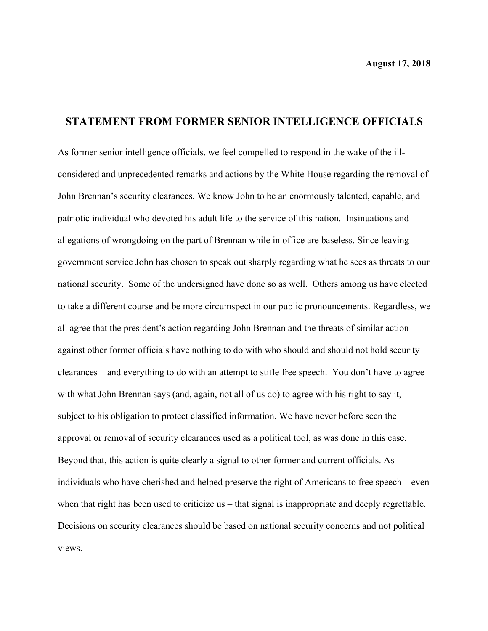## **STATEMENT FROM FORMER SENIOR INTELLIGENCE OFFICIALS**

As former senior intelligence officials, we feel compelled to respond in the wake of the illconsidered and unprecedented remarks and actions by the White House regarding the removal of John Brennan's security clearances. We know John to be an enormously talented, capable, and patriotic individual who devoted his adult life to the service of this nation. Insinuations and allegations of wrongdoing on the part of Brennan while in office are baseless. Since leaving government service John has chosen to speak out sharply regarding what he sees as threats to our national security. Some of the undersigned have done so as well. Others among us have elected to take a different course and be more circumspect in our public pronouncements. Regardless, we all agree that the president's action regarding John Brennan and the threats of similar action against other former officials have nothing to do with who should and should not hold security clearances – and everything to do with an attempt to stifle free speech. You don't have to agree with what John Brennan says (and, again, not all of us do) to agree with his right to say it, subject to his obligation to protect classified information. We have never before seen the approval or removal of security clearances used as a political tool, as was done in this case. Beyond that, this action is quite clearly a signal to other former and current officials. As individuals who have cherished and helped preserve the right of Americans to free speech – even when that right has been used to criticize us – that signal is inappropriate and deeply regrettable. Decisions on security clearances should be based on national security concerns and not political views.